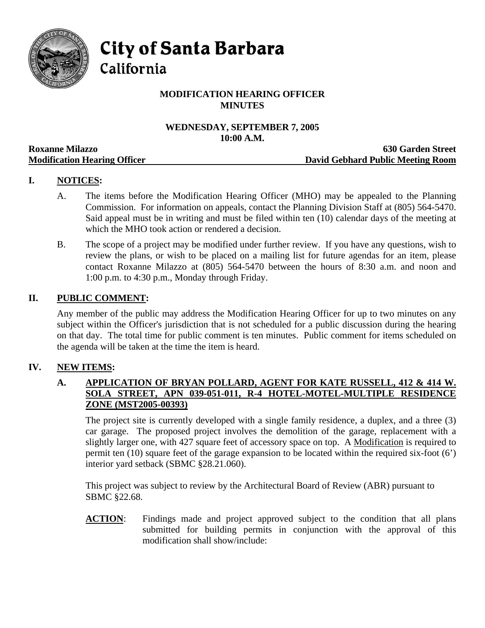

**City of Santa Barbara** 

California

# **MODIFICATION HEARING OFFICER MINUTES**

# **WEDNESDAY, SEPTEMBER 7, 2005 10:00 A.M.**

|                                     | TANDA TIMAN                       |
|-------------------------------------|-----------------------------------|
| <b>Roxanne Milazzo</b>              | <b>630 Garden Street</b>          |
| <b>Modification Hearing Officer</b> | David Gebhard Public Meeting Room |

# **I. NOTICES:**

- A. The items before the Modification Hearing Officer (MHO) may be appealed to the Planning Commission. For information on appeals, contact the Planning Division Staff at (805) 564-5470. Said appeal must be in writing and must be filed within ten (10) calendar days of the meeting at which the MHO took action or rendered a decision.
- B. The scope of a project may be modified under further review. If you have any questions, wish to review the plans, or wish to be placed on a mailing list for future agendas for an item, please contact Roxanne Milazzo at (805) 564-5470 between the hours of 8:30 a.m. and noon and 1:00 p.m. to 4:30 p.m., Monday through Friday.

#### **II. PUBLIC COMMENT:**

Any member of the public may address the Modification Hearing Officer for up to two minutes on any subject within the Officer's jurisdiction that is not scheduled for a public discussion during the hearing on that day. The total time for public comment is ten minutes. Public comment for items scheduled on the agenda will be taken at the time the item is heard.

### **IV. NEW ITEMS:**

### **A. APPLICATION OF BRYAN POLLARD, AGENT FOR KATE RUSSELL, 412 & 414 W. SOLA STREET, APN 039-051-011, R-4 HOTEL-MOTEL-MULTIPLE RESIDENCE ZONE (MST2005-00393)**

The project site is currently developed with a single family residence, a duplex, and a three (3) car garage. The proposed project involves the demolition of the garage, replacement with a slightly larger one, with 427 square feet of accessory space on top. A Modification is required to permit ten (10) square feet of the garage expansion to be located within the required six-foot (6') interior yard setback (SBMC §28.21.060).

This project was subject to review by the Architectural Board of Review (ABR) pursuant to SBMC §22.68.

**ACTION**: Findings made and project approved subject to the condition that all plans submitted for building permits in conjunction with the approval of this modification shall show/include: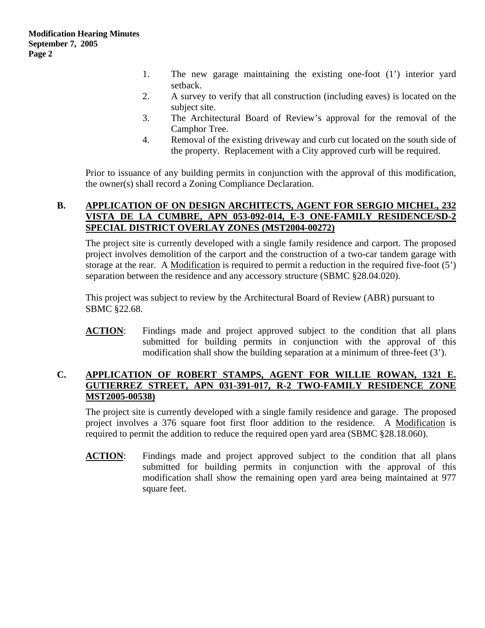- 1. The new garage maintaining the existing one-foot (1') interior yard setback.
- 2. A survey to verify that all construction (including eaves) is located on the subject site.
- 3. The Architectural Board of Review's approval for the removal of the Camphor Tree.
- 4. Removal of the existing driveway and curb cut located on the south side of the property. Replacement with a City approved curb will be required.

Prior to issuance of any building permits in conjunction with the approval of this modification, the owner(s) shall record a Zoning Compliance Declaration.

### **B. APPLICATION OF ON DESIGN ARCHITECTS, AGENT FOR SERGIO MICHEL, 232 VISTA DE LA CUMBRE, APN 053-092-014, E-3 ONE-FAMILY RESIDENCE/SD-2 SPECIAL DISTRICT OVERLAY ZONES (MST2004-00272)**

The project site is currently developed with a single family residence and carport. The proposed project involves demolition of the carport and the construction of a two-car tandem garage with storage at the rear. A Modification is required to permit a reduction in the required five-foot  $(5')$ separation between the residence and any accessory structure (SBMC §28.04.020).

This project was subject to review by the Architectural Board of Review (ABR) pursuant to SBMC §22.68.

**ACTION**: Findings made and project approved subject to the condition that all plans submitted for building permits in conjunction with the approval of this modification shall show the building separation at a minimum of three-feet (3').

### **C. APPLICATION OF ROBERT STAMPS, AGENT FOR WILLIE ROWAN, 1321 E. GUTIERREZ STREET, APN 031-391-017, R-2 TWO-FAMILY RESIDENCE ZONE MST2005-00538)**

The project site is currently developed with a single family residence and garage. The proposed project involves a 376 square foot first floor addition to the residence. A Modification is required to permit the addition to reduce the required open yard area (SBMC §28.18.060).

**ACTION:** Findings made and project approved subject to the condition that all plans submitted for building permits in conjunction with the approval of this modification shall show the remaining open yard area being maintained at 977 square feet.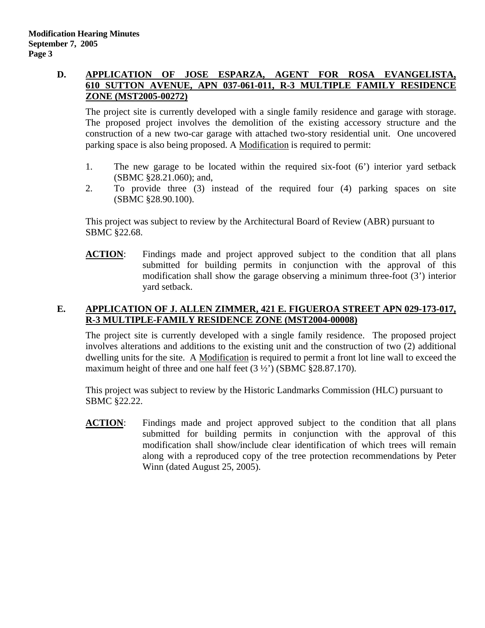#### **D. APPLICATION OF JOSE ESPARZA, AGENT FOR ROSA EVANGELISTA, 610 SUTTON AVENUE, APN 037-061-011, R-3 MULTIPLE FAMILY RESIDENCE ZONE (MST2005-00272)**

The project site is currently developed with a single family residence and garage with storage. The proposed project involves the demolition of the existing accessory structure and the construction of a new two-car garage with attached two-story residential unit. One uncovered parking space is also being proposed. A Modification is required to permit:

- 1. The new garage to be located within the required six-foot (6') interior yard setback (SBMC §28.21.060); and,
- 2. To provide three (3) instead of the required four (4) parking spaces on site (SBMC §28.90.100).

This project was subject to review by the Architectural Board of Review (ABR) pursuant to SBMC §22.68.

**ACTION:** Findings made and project approved subject to the condition that all plans submitted for building permits in conjunction with the approval of this modification shall show the garage observing a minimum three-foot (3') interior yard setback.

### **E. APPLICATION OF J. ALLEN ZIMMER, 421 E. FIGUEROA STREET APN 029-173-017, R-3 MULTIPLE-FAMILY RESIDENCE ZONE (MST2004-00008)**

The project site is currently developed with a single family residence. The proposed project involves alterations and additions to the existing unit and the construction of two (2) additional dwelling units for the site. A Modification is required to permit a front lot line wall to exceed the maximum height of three and one half feet (3  $\frac{1}{2}$ ) (SBMC §28.87.170).

This project was subject to review by the Historic Landmarks Commission (HLC) pursuant to SBMC §22.22.

**ACTION**: Findings made and project approved subject to the condition that all plans submitted for building permits in conjunction with the approval of this modification shall show/include clear identification of which trees will remain along with a reproduced copy of the tree protection recommendations by Peter Winn (dated August 25, 2005).